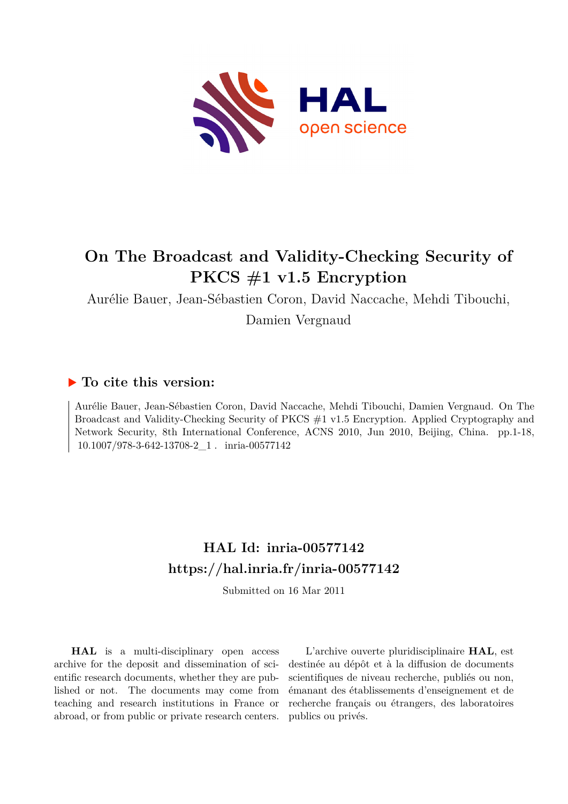

# **On The Broadcast and Validity-Checking Security of PKCS #1 v1.5 Encryption**

Aurélie Bauer, Jean-Sébastien Coron, David Naccache, Mehdi Tibouchi, Damien Vergnaud

# **To cite this version:**

Aurélie Bauer, Jean-Sébastien Coron, David Naccache, Mehdi Tibouchi, Damien Vergnaud. On The Broadcast and Validity-Checking Security of PKCS #1 v1.5 Encryption. Applied Cryptography and Network Security, 8th International Conference, ACNS 2010, Jun 2010, Beijing, China. pp.1-18, 10.1007/978-3-642-13708-2\_1 . inria-00577142

# **HAL Id: inria-00577142 <https://hal.inria.fr/inria-00577142>**

Submitted on 16 Mar 2011

**HAL** is a multi-disciplinary open access archive for the deposit and dissemination of scientific research documents, whether they are published or not. The documents may come from teaching and research institutions in France or abroad, or from public or private research centers.

L'archive ouverte pluridisciplinaire **HAL**, est destinée au dépôt et à la diffusion de documents scientifiques de niveau recherche, publiés ou non, émanant des établissements d'enseignement et de recherche français ou étrangers, des laboratoires publics ou privés.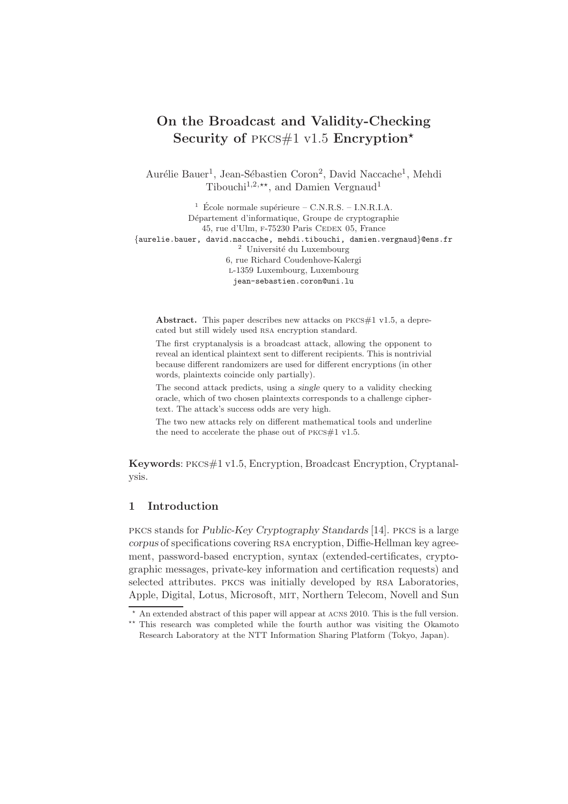# On the Broadcast and Validity-Checking Security of PKCS#1 v1.5 Encryption\*

Aurélie Bauer<sup>1</sup>, Jean-Sébastien Coron<sup>2</sup>, David Naccache<sup>1</sup>, Mehdi Tibouchi<sup>1,2,\*\*</sup>, and Damien Vergnaud<sup>1</sup>

 $^1\,$  École normale supérieure – C.N.R.S. – I.N.R.I.A. Département d'informatique, Groupe de cryptographie 45, rue d'Ulm, F-75230 Paris CEDEX 05, France {aurelie.bauer, david.naccache, mehdi.tibouchi, damien.vergnaud}@ens.fr  $2$  Université du Luxembourg 6, rue Richard Coudenhove-Kalergi l-1359 Luxembourg, Luxembourg jean-sebastien.coron@uni.lu

Abstract. This paper describes new attacks on  $PKCS#1$  v1.5, a deprecated but still widely used rsa encryption standard.

The first cryptanalysis is a broadcast attack, allowing the opponent to reveal an identical plaintext sent to different recipients. This is nontrivial because different randomizers are used for different encryptions (in other words, plaintexts coincide only partially).

The second attack predicts, using a *single* query to a validity checking oracle, which of two chosen plaintexts corresponds to a challenge ciphertext. The attack's success odds are very high.

The two new attacks rely on different mathematical tools and underline the need to accelerate the phase out of PKCS#1 v1.5.

Keywords: pkcs#1 v1.5, Encryption, Broadcast Encryption, Cryptanalysis.

# 1 Introduction

pkcs stands for Public-Key Cryptography Standards [14]. pkcs is a large corpus of specifications covering rsa encryption, Diffie-Hellman key agreement, password-based encryption, syntax (extended-certificates, cryptographic messages, private-key information and certification requests) and selected attributes. pkcs was initially developed by rsa Laboratories, Apple, Digital, Lotus, Microsoft, mit, Northern Telecom, Novell and Sun

<sup>⋆</sup> An extended abstract of this paper will appear at acns 2010. This is the full version.

<sup>\*\*</sup> This research was completed while the fourth author was visiting the Okamoto Research Laboratory at the NTT Information Sharing Platform (Tokyo, Japan).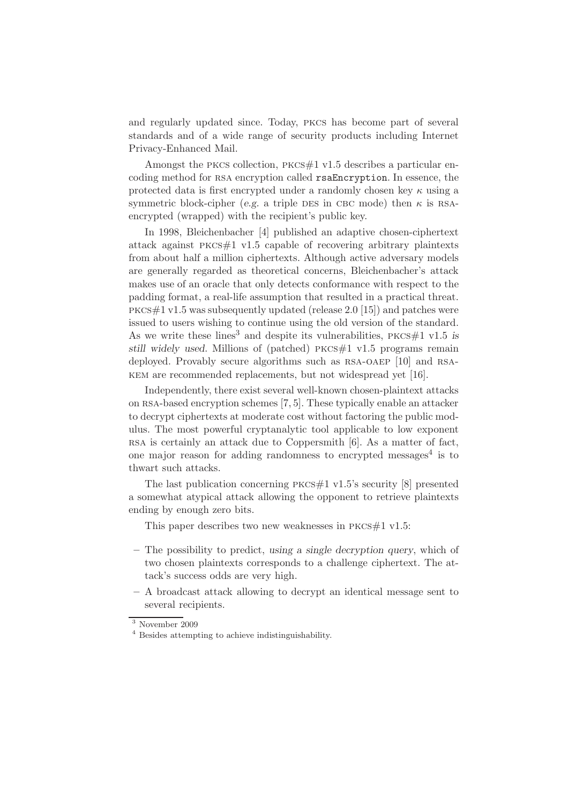and regularly updated since. Today, pkcs has become part of several standards and of a wide range of security products including Internet Privacy-Enhanced Mail.

Amongst the pkcs collection, pkcs#1 v1.5 describes a particular encoding method for RSA encryption called rsaEncryption. In essence, the protected data is first encrypted under a randomly chosen key  $\kappa$  using a symmetric block-cipher (e.g. a triple DES in CBC mode) then  $\kappa$  is RSAencrypted (wrapped) with the recipient's public key.

In 1998, Bleichenbacher [4] published an adaptive chosen-ciphertext attack against pkcs#1 v1.5 capable of recovering arbitrary plaintexts from about half a million ciphertexts. Although active adversary models are generally regarded as theoretical concerns, Bleichenbacher's attack makes use of an oracle that only detects conformance with respect to the padding format, a real-life assumption that resulted in a practical threat. pkcs#1 v1.5 was subsequently updated (release 2.0 [15]) and patches were issued to users wishing to continue using the old version of the standard. As we write these lines<sup>3</sup> and despite its vulnerabilities,  $PKCS#1$  v1.5 is still widely used. Millions of (patched)  $PKCS#1$  v1.5 programs remain deployed. Provably secure algorithms such as RSA-OAEP [10] and RSAkem are recommended replacements, but not widespread yet [16].

Independently, there exist several well-known chosen-plaintext attacks on rsa-based encryption schemes [7, 5]. These typically enable an attacker to decrypt ciphertexts at moderate cost without factoring the public modulus. The most powerful cryptanalytic tool applicable to low exponent rsa is certainly an attack due to Coppersmith [6]. As a matter of fact, one major reason for adding randomness to encrypted messages<sup>4</sup> is to thwart such attacks.

The last publication concerning pkcs#1 v1.5's security [8] presented a somewhat atypical attack allowing the opponent to retrieve plaintexts ending by enough zero bits.

This paper describes two new weaknesses in  $PKCS#1$  v1.5:

- The possibility to predict, using a single decryption query, which of two chosen plaintexts corresponds to a challenge ciphertext. The attack's success odds are very high.
- A broadcast attack allowing to decrypt an identical message sent to several recipients.

 $\overline{\hspace{0.2cm}^3}$  November 2009

<sup>4</sup> Besides attempting to achieve indistinguishability.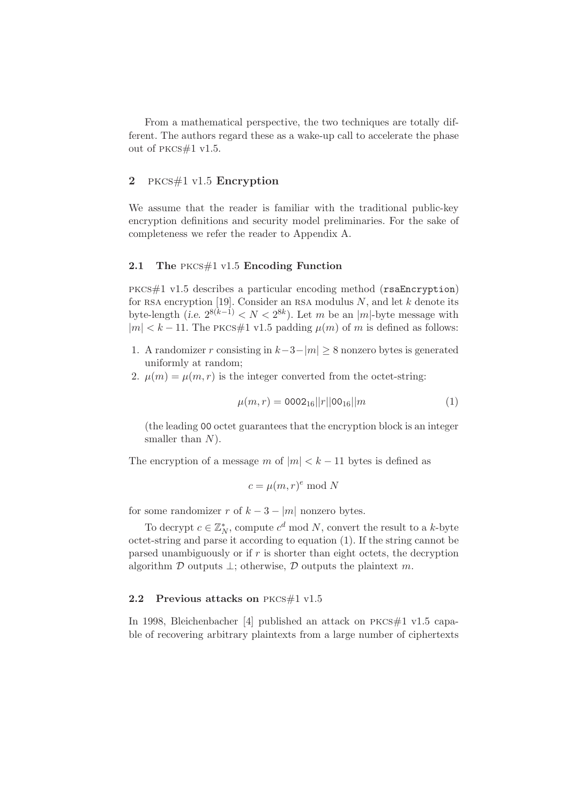From a mathematical perspective, the two techniques are totally different. The authors regard these as a wake-up call to accelerate the phase out of pkcs#1 v1.5.

# 2 pkcs#1 v1.5 Encryption

We assume that the reader is familiar with the traditional public-key encryption definitions and security model preliminaries. For the sake of completeness we refer the reader to Appendix A.

#### 2.1 The pkcs#1 v1.5 Encoding Function

pkcs#1 v1.5 describes a particular encoding method (rsaEncryption) for RSA encryption [19]. Consider an RSA modulus  $N$ , and let  $k$  denote its byte-length (i.e.  $2^{8(k-1)} < N < 2^{8k}$ ). Let m be an |m|-byte message with  $|m| < k - 11$ . The PKCS#1 v1.5 padding  $\mu(m)$  of m is defined as follows:

- 1. A randomizer r consisting in  $k-3-|m| > 8$  nonzero bytes is generated uniformly at random;
- 2.  $\mu(m) = \mu(m, r)$  is the integer converted from the octet-string:

$$
\mu(m,r) = 0002_{16}||r||00_{16}||m \tag{1}
$$

(the leading 00 octet guarantees that the encryption block is an integer smaller than  $N$ ).

The encryption of a message m of  $|m| < k - 11$  bytes is defined as

$$
c = \mu(m, r)^e \bmod N
$$

for some randomizer r of  $k - 3 - |m|$  nonzero bytes.

To decrypt  $c \in \mathbb{Z}_N^*$ , compute  $c^d \mod N$ , convert the result to a k-byte octet-string and parse it according to equation (1). If the string cannot be parsed unambiguously or if  $r$  is shorter than eight octets, the decryption algorithm  $\mathcal D$  outputs  $\perp$ ; otherwise,  $\mathcal D$  outputs the plaintext m.

#### **2.2 Previous attacks on** PKCS#1 v1.5

In 1998, Bleichenbacher [4] published an attack on pkcs#1 v1.5 capable of recovering arbitrary plaintexts from a large number of ciphertexts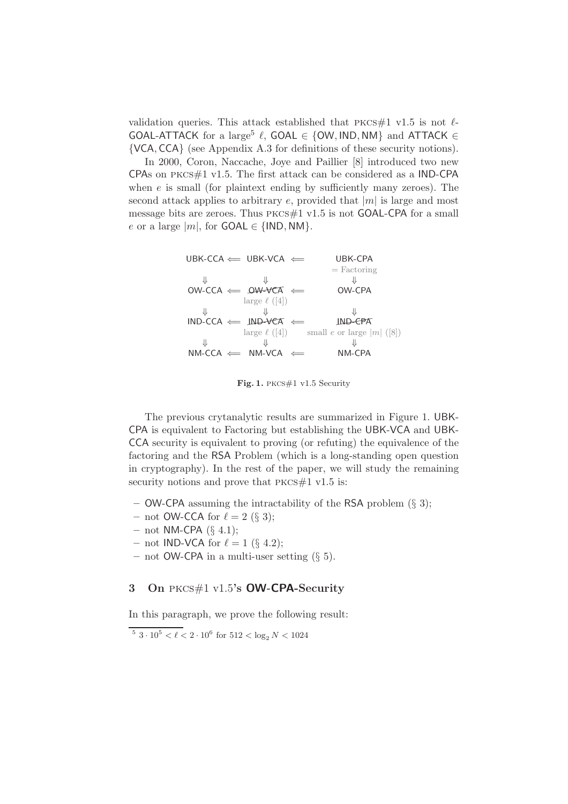validation queries. This attack established that  $PKCS#1$  v1.5 is not  $\ell$ -GOAL-ATTACK for a large<sup>5</sup>  $\ell$ , GOAL  $\in$  {OW, IND, NM} and ATTACK  $\in$ {VCA, CCA} (see Appendix A.3 for definitions of these security notions).

In 2000, Coron, Naccache, Joye and Paillier [8] introduced two new CPAs on pkcs#1 v1.5. The first attack can be considered as a IND-CPA when  $e$  is small (for plaintext ending by sufficiently many zeroes). The second attack applies to arbitrary e, provided that  $|m|$  is large and most message bits are zeroes. Thus pkcs#1 v1.5 is not GOAL-CPA for a small e or a large  $|m|$ , for  $GOAL \in \{IND, NM\}$ .

| UBK-CCA            | UBK-VCA                                    | UBK-CPA      |
|--------------------|--------------------------------------------|--------------|
| $\Downarrow$       | $\Downarrow$                               | $\Downarrow$ |
| OW-CCA             | $\downarrow$                               | $\Downarrow$ |
| $\Downarrow$       | $\Downarrow$                               | $\Downarrow$ |
| large $\ell$ ([4]) | $\Downarrow$                               |              |
| IND-CCA            | $\downarrow$                               | $\Downarrow$ |
| large $\ell$ ([4]) | small <i>e</i> or large   <i>m</i>   ([8]) |              |
| $\Downarrow$       | $\Downarrow$                               | $\Downarrow$ |
| NM-CCA             | $\Downarrow$                               | $\Downarrow$ |
| NM-CCA             | $\Downarrow$                               | $\Downarrow$ |

Fig. 1. pkcs#1 v1.5 Security

The previous crytanalytic results are summarized in Figure 1. UBK-CPA is equivalent to Factoring but establishing the UBK-VCA and UBK-CCA security is equivalent to proving (or refuting) the equivalence of the factoring and the RSA Problem (which is a long-standing open question in cryptography). In the rest of the paper, we will study the remaining security notions and prove that  $PKCS#1$  v1.5 is:

- OW-CPA assuming the intractability of the RSA problem (§ 3);
- not OW-CCA for  $\ell = 2 \text{ (§ 3)}$ ;
- $-$  not NM-CPA (§ 4.1);
- not IND-VCA for  $\ell = 1$  (§ 4.2);
- not OW-CPA in a multi-user setting (§ 5).

## 3 On PKCS $\#1$  v1.5's OW-CPA-Security

In this paragraph, we prove the following result:

 $5\ 3\cdot 10^5 < \ell < 2\cdot 10^6$  for  $512 < \log_2 N < 1024$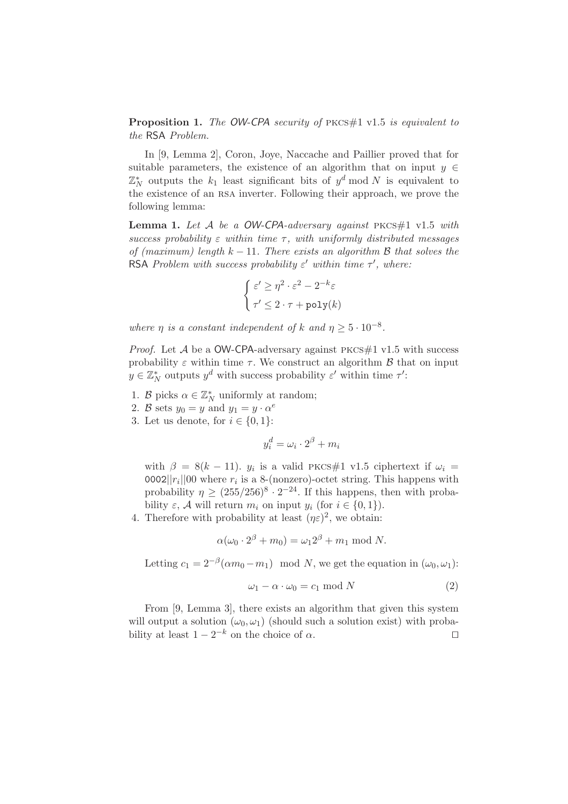Proposition 1. *The* OW-CPA *security of* pkcs#1 v1.5 *is equivalent to the* RSA *Problem.*

In [9, Lemma 2], Coron, Joye, Naccache and Paillier proved that for suitable parameters, the existence of an algorithm that on input  $y \in$  $\mathbb{Z}_N^*$  outputs the  $k_1$  least significant bits of  $y^d \bmod N$  is equivalent to the existence of an rsa inverter. Following their approach, we prove the following lemma:

Lemma 1. Let A be a OW-CPA-adversary against PKCS#1 v1.5 with  $success$  probability  $\varepsilon$  within time  $\tau$ , with uniformly distributed messages *of (maximum) length*  $k − 11$ *. There exists an algorithm B that solves the* RSA *Problem with success probability*  $\varepsilon'$  within time  $\tau'$ , where:

$$
\begin{cases} \varepsilon' \ge \eta^2 \cdot \varepsilon^2 - 2^{-k} \varepsilon \\ \tau' \le 2 \cdot \tau + \text{poly}(k) \end{cases}
$$

*where*  $\eta$  *is a constant independent of*  $k$  *and*  $\eta \geq 5 \cdot 10^{-8}$ *.* 

*Proof.* Let  $A$  be a OW-CPA-adversary against PKCS#1 v1.5 with success probability  $\varepsilon$  within time  $\tau$ . We construct an algorithm  $\beta$  that on input  $y \in \mathbb{Z}_N^*$  outputs  $y^d$  with success probability  $\varepsilon'$  within time  $\tau'$ :

- 1. B picks  $\alpha \in \mathbb{Z}_N^*$  uniformly at random;
- 2. B sets  $y_0 = y$  and  $y_1 = y \cdot \alpha^e$
- 3. Let us denote, for  $i \in \{0,1\}$ :

$$
y_i^d = \omega_i \cdot 2^{\beta} + m_i
$$

with  $\beta = 8(k - 11)$ .  $y_i$  is a valid PKCS#1 v1.5 ciphertext if  $\omega_i =$ 0002|| $r_i$ ||00 where  $r_i$  is a 8-(nonzero)-octet string. This happens with probability  $\eta \ge (255/256)^8 \cdot 2^{-24}$ . If this happens, then with probability  $\varepsilon$ , A will return  $m_i$  on input  $y_i$  (for  $i \in \{0, 1\}$ ).

4. Therefore with probability at least  $(\eta \varepsilon)^2$ , we obtain:

$$
\alpha(\omega_0 \cdot 2^{\beta} + m_0) = \omega_1 2^{\beta} + m_1 \bmod N.
$$

Letting  $c_1 = 2^{-\beta}(\alpha m_0 - m_1) \mod N$ , we get the equation in  $(\omega_0, \omega_1)$ :

$$
\omega_1 - \alpha \cdot \omega_0 = c_1 \bmod N \tag{2}
$$

From [9, Lemma 3], there exists an algorithm that given this system will output a solution  $(\omega_0, \omega_1)$  (should such a solution exist) with probability at least  $1 - 2^{-k}$  on the choice of  $\alpha$ . □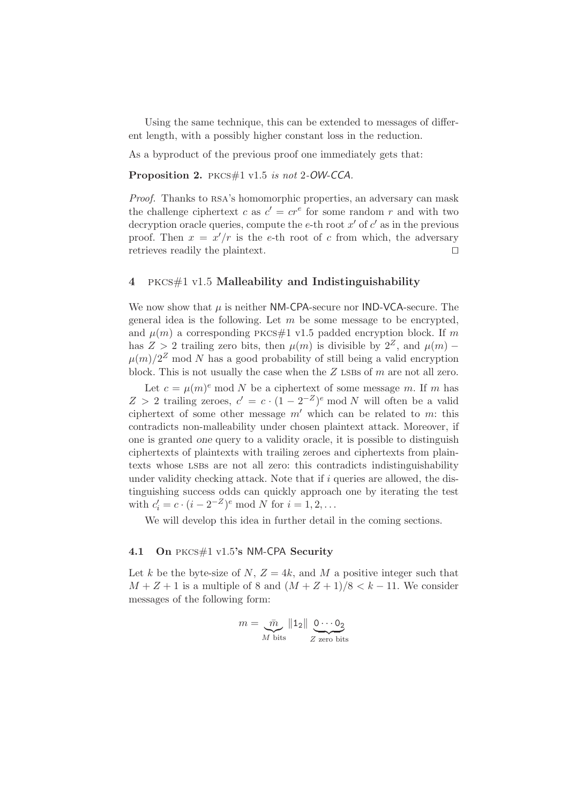Using the same technique, this can be extended to messages of different length, with a possibly higher constant loss in the reduction.

As a byproduct of the previous proof one immediately gets that:

Proposition 2. pkcs#1 v1.5 *is not* 2*-*OW-CCA*.*

*Proof.* Thanks to RSA's homomorphic properties, an adversary can mask the challenge ciphertext c as  $c' = cr^e$  for some random r and with two decryption oracle queries, compute the e-th root  $x'$  of  $c'$  as in the previous proof. Then  $x = x'/r$  is the e-th root of c from which, the adversary retrieves readily the plaintext. ⊓⊔

### 4 pkcs#1 v1.5 Malleability and Indistinguishability

We now show that  $\mu$  is neither NM-CPA-secure nor IND-VCA-secure. The general idea is the following. Let  $m$  be some message to be encrypted, and  $\mu(m)$  a corresponding PKCS#1 v1.5 padded encryption block. If m has  $Z > 2$  trailing zero bits, then  $\mu(m)$  is divisible by  $2^Z$ , and  $\mu(m)$  –  $\mu(m)/2^Z$  mod N has a good probability of still being a valid encryption block. This is not usually the case when the  $Z$  LSBs of  $m$  are not all zero.

Let  $c = \mu(m)^e$  mod N be a ciphertext of some message m. If m has Z > 2 trailing zeroes,  $c' = c \cdot (1 - 2^{-Z})^e \mod N$  will often be a valid ciphertext of some other message  $m'$  which can be related to m: this contradicts non-malleability under chosen plaintext attack. Moreover, if one is granted one query to a validity oracle, it is possible to distinguish ciphertexts of plaintexts with trailing zeroes and ciphertexts from plaintexts whose lsbs are not all zero: this contradicts indistinguishability under validity checking attack. Note that if  $i$  queries are allowed, the distinguishing success odds can quickly approach one by iterating the test with  $c'_i = c \cdot (i - 2^{-Z})^e \mod N$  for  $i = 1, 2, ...$ 

We will develop this idea in further detail in the coming sections.

#### 4.1 On PKCS#1 v1.5's NM-CPA Security

Let k be the byte-size of N,  $Z = 4k$ , and M a positive integer such that  $M + Z + 1$  is a multiple of 8 and  $(M + Z + 1)/8 < k - 11$ . We consider messages of the following form:

$$
m = \frac{\bar{m}}{M \text{ bits}} \|1_2\| \underbrace{0 \cdots 0_2}_{Z \text{ zero bits}}
$$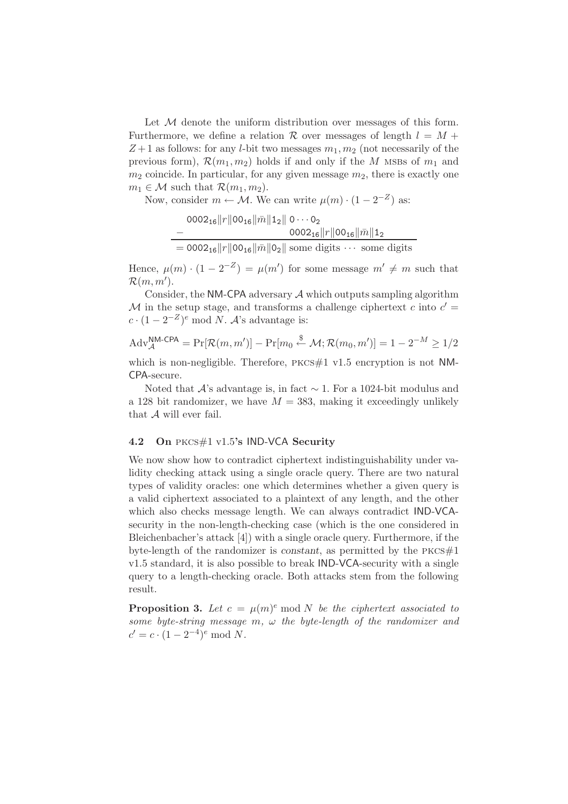Let  $M$  denote the uniform distribution over messages of this form. Furthermore, we define a relation  $\mathcal R$  over messages of length  $l = M +$  $Z+1$  as follows: for any *l*-bit two messages  $m_1, m_2$  (not necessarily of the previous form),  $\mathcal{R}(m_1, m_2)$  holds if and only if the M MSBs of  $m_1$  and  $m_2$  coincide. In particular, for any given message  $m_2$ , there is exactly one  $m_1 \in \mathcal{M}$  such that  $\mathcal{R}(m_1, m_2)$ .

Now, consider  $m \leftarrow \mathcal{M}$ . We can write  $\mu(m) \cdot (1 - 2^{-Z})$  as:

$$
0002_{16}||r||00_{16}||\bar{m}||1_{2}||0\cdots 0_{2}
$$
  
-
$$
0002_{16}||r||00_{16}||\bar{m}||1_{2}
$$
  
= 
$$
0002_{16}||r||00_{16}||\bar{m}||0_{2}||
$$
some digits  $\cdots$  some digits

Hence,  $\mu(m) \cdot (1 - 2^{-Z}) = \mu(m')$  for some message  $m' \neq m$  such that  $\mathcal{R}(m,m').$ 

Consider, the NM-CPA adversary  $A$  which outputs sampling algorithm M in the setup stage, and transforms a challenge ciphertext c into  $c' =$  $c \cdot (1 - 2^{-Z})^e \mod N$ . A's advantage is:

$$
\text{Adv}_{\mathcal{A}}^{\text{N}\text{M-CPA}} = \Pr[\mathcal{R}(m, m')] - \Pr[m_0 \stackrel{\$}{\leftarrow} \mathcal{M}; \mathcal{R}(m_0, m')] = 1 - 2^{-M} \ge 1/2
$$

which is non-negligible. Therefore,  $PKCS#1$  v1.5 encryption is not NM-CPA-secure.

Noted that  $\mathcal{A}$ 's advantage is, in fact  $\sim$  1. For a 1024-bit modulus and a 128 bit randomizer, we have  $M = 383$ , making it exceedingly unlikely that A will ever fail.

#### 4.2 On PKCS#1 v1.5's IND-VCA Security

We now show how to contradict ciphertext indistinguishability under validity checking attack using a single oracle query. There are two natural types of validity oracles: one which determines whether a given query is a valid ciphertext associated to a plaintext of any length, and the other which also checks message length. We can always contradict IND-VCAsecurity in the non-length-checking case (which is the one considered in Bleichenbacher's attack [4]) with a single oracle query. Furthermore, if the byte-length of the randomizer is constant, as permitted by the  $PKCS#1$ v1.5 standard, it is also possible to break IND-VCA-security with a single query to a length-checking oracle. Both attacks stem from the following result.

**Proposition 3.** Let  $c = \mu(m)^e \mod N$  be the ciphertext associated to *some byte-string message* m*,* ω *the byte-length of the randomizer and*  $c' = c \cdot (1 - 2^{-4})^e \mod N.$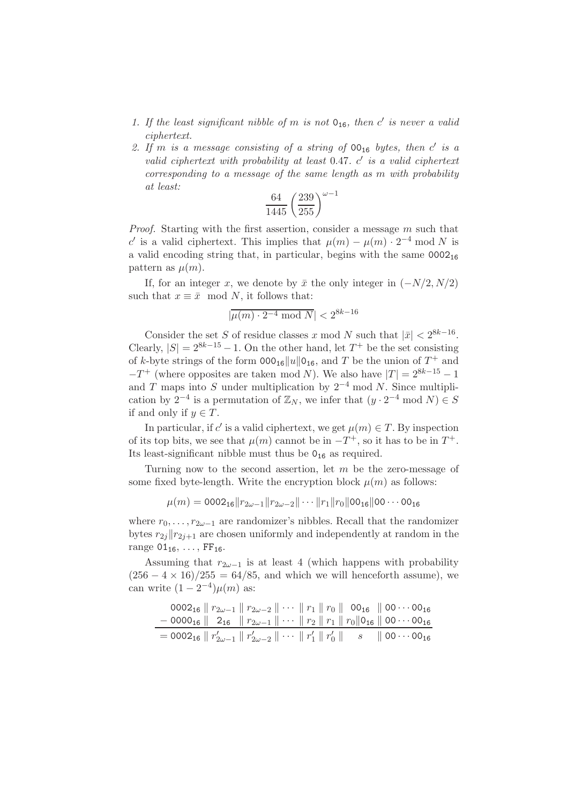- *1. If the least significant nibble of* m *is not* 016*, then* c ′ *is never a valid ciphertext.*
- 2. If m is a message consisting of a string of  $00_{16}$  bytes, then c' is a *valid ciphertext with probability at least* 0.47*.* c ′ *is a valid ciphertext corresponding to a message of the same length as* m *with probability at least:*

$$
\frac{64}{1445} \left(\frac{239}{255}\right)^{\omega-1}
$$

*Proof.* Starting with the first assertion, consider a message m such that c' is a valid ciphertext. This implies that  $\mu(m) - \mu(m) \cdot 2^{-4} \text{ mod } N$  is a valid encoding string that, in particular, begins with the same  $0002_{16}$ pattern as  $\mu(m)$ .

If, for an integer x, we denote by  $\bar{x}$  the only integer in  $(-N/2, N/2)$ such that  $x \equiv \bar{x} \mod N$ , it follows that:

$$
|\overline{\mu(m)\cdot 2^{-4}\bmod N}|<2^{8k-16}
$$

Consider the set S of residue classes x mod N such that  $|\bar{x}| < 2^{8k-16}$ . Clearly,  $|S| = 2^{8k-15} - 1$ . On the other hand, let  $T^+$  be the set consisting of k-byte strings of the form  $000_{16}||u||0_{16}$ , and T be the union of  $T^+$  and  $-T^+$  (where opposites are taken mod N). We also have  $|T| = 2^{8k-15} - 1$ and T maps into S under multiplication by  $2^{-4}$  mod N. Since multiplication by 2<sup>-4</sup> is a permutation of  $\mathbb{Z}_N$ , we infer that  $(y \cdot 2^{-4} \mod N) \in S$ if and only if  $y \in T$ .

In particular, if c' is a valid ciphertext, we get  $\mu(m) \in T$ . By inspection of its top bits, we see that  $\mu(m)$  cannot be in  $-T^+$ , so it has to be in  $T^+$ . Its least-significant nibble must thus be  $0_{16}$  as required.

Turning now to the second assertion, let  $m$  be the zero-message of some fixed byte-length. Write the encryption block  $\mu(m)$  as follows:

$$
\mu(m) = 0002_{16}||r_{2\omega-1}||r_{2\omega-2}||\cdots||r_1||r_0||00_{16}||00\cdots00_{16}
$$

where  $r_0, \ldots, r_{2\omega-1}$  are randomizer's nibbles. Recall that the randomizer bytes  $r_{2j}||r_{2j+1}$  are chosen uniformly and independently at random in the range  $01_{16}, \ldots, FF_{16}$ .

Assuming that  $r_{2\omega-1}$  is at least 4 (which happens with probability  $(256 - 4 \times 16)/255 = 64/85$ , and which we will henceforth assume), we can write  $(1-2^{-4})\mu(m)$  as:

| 0002 <sub>16</sub>    $r_{2\omega-1}$    $r_{2\omega-2}$    $\cdots$    $r_1$    $r_0$    00 <sub>16</sub>    00 $\cdots$ 00 <sub>16</sub>            |  |
|-------------------------------------------------------------------------------------------------------------------------------------------------------|--|
| $-$ 0000 <sub>16</sub>    2 <sub>16</sub>    $r_{2\omega-1}$    $\cdots$    $r_2$    $r_1$    $r_0$   0 <sub>16</sub>    00 $\cdots$ 00 <sub>16</sub> |  |
| $=$ 0002 <sub>16</sub>    $r'_{2\omega-1}$    $r'_{2\omega-2}$    $\cdots$    $r'_{1}$    $r'_{0}$    $s$    00 $\cdots$ 00 <sub>16</sub>             |  |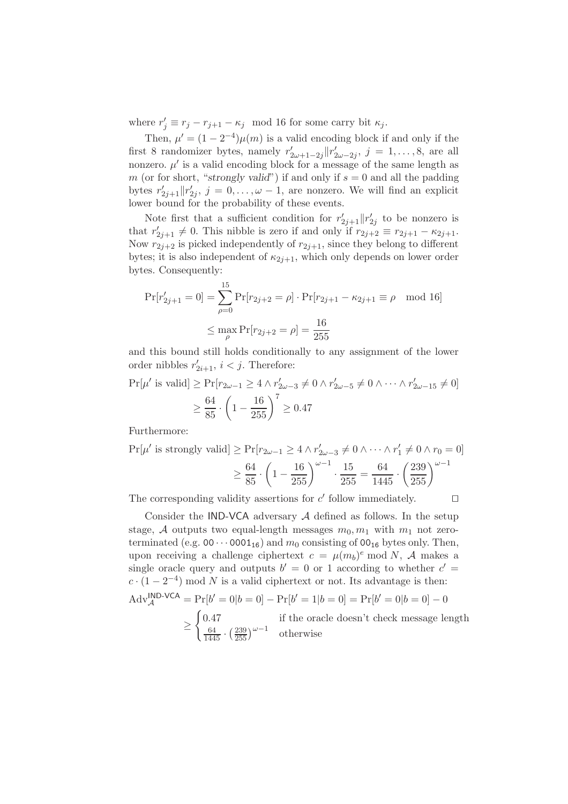where  $r'_j \equiv r_j - r_{j+1} - \kappa_j \mod 16$  for some carry bit  $\kappa_j$ .

Then,  $\mu' = (1 - 2^{-4})\mu(m)$  is a valid encoding block if and only if the first 8 randomizer bytes, namely  $r'_{2\omega+1-2j}||r'_{2\omega-2j}, j = 1, \ldots, 8$ , are all nonzero.  $\mu'$  is a valid encoding block for a message of the same length as m (or for short, "strongly valid") if and only if  $s = 0$  and all the padding bytes  $r'_{2j+1} || r'_{2j}, j = 0, \ldots, \omega - 1$ , are nonzero. We will find an explicit lower bound for the probability of these events.

Note first that a sufficient condition for  $r'_{2j+1}||r'_{2j}$  to be nonzero is that  $r'_{2j+1} \neq 0$ . This nibble is zero if and only if  $r_{2j+2} \equiv r_{2j+1} - \kappa_{2j+1}$ . Now  $r_{2j+2}$  is picked independently of  $r_{2j+1}$ , since they belong to different bytes; it is also independent of  $\kappa_{2j+1}$ , which only depends on lower order bytes. Consequently:

$$
\Pr[r'_{2j+1} = 0] = \sum_{\rho=0}^{15} \Pr[r_{2j+2} = \rho] \cdot \Pr[r_{2j+1} - \kappa_{2j+1} \equiv \rho \mod 16]
$$

$$
\leq \max_{\rho} \Pr[r_{2j+2} = \rho] = \frac{16}{255}
$$

and this bound still holds conditionally to any assignment of the lower order nibbles  $r'_{2i+1}$ ,  $i < j$ . Therefore:

$$
\Pr[\mu' \text{ is valid}] \ge \Pr[r_{2\omega - 1} \ge 4 \land r'_{2\omega - 3} \ne 0 \land r'_{2\omega - 5} \ne 0 \land \dots \land r'_{2\omega - 15} \ne 0]
$$

$$
\ge \frac{64}{85} \cdot \left(1 - \frac{16}{255}\right)^7 \ge 0.47
$$

Furthermore:

$$
\Pr[\mu' \text{ is strongly valid}] \ge \Pr[r_{2\omega - 1} \ge 4 \land r'_{2\omega - 3} \ne 0 \land \dots \land r'_1 \ne 0 \land r_0 = 0]
$$

$$
\ge \frac{64}{85} \cdot \left(1 - \frac{16}{255}\right)^{\omega - 1} \cdot \frac{15}{255} = \frac{64}{1445} \cdot \left(\frac{239}{255}\right)^{\omega - 1}
$$

The corresponding validity assertions for  $c'$  follow immediately.  $\Box$ 

Consider the IND-VCA adversary  $A$  defined as follows. In the setup stage, A outputs two equal-length messages  $m_0, m_1$  with  $m_1$  not zeroterminated (e.g.  $00 \cdots 0001_{16}$ ) and  $m_0$  consisting of  $00_{16}$  bytes only. Then, upon receiving a challenge ciphertext  $c = \mu(m_b)^e \mod N$ , A makes a single oracle query and outputs  $b' = 0$  or 1 according to whether  $c' =$  $c \cdot (1 - 2^{-4}) \mod N$  is a valid ciphertext or not. Its advantage is then:  $\text{Adv}_{\mathcal{A}}^{\text{IND-VCA}} = \Pr[b' = 0|b = 0] - \Pr[b' = 1|b = 0] = \Pr[b' = 0|b = 0] - 0$ 

$$
\geq \begin{cases} 0.47 & \text{if the oracle doesn't check message length} \\ \frac{64}{1445} \cdot \left(\frac{239}{255}\right)^{\omega - 1} & \text{otherwise} \end{cases}
$$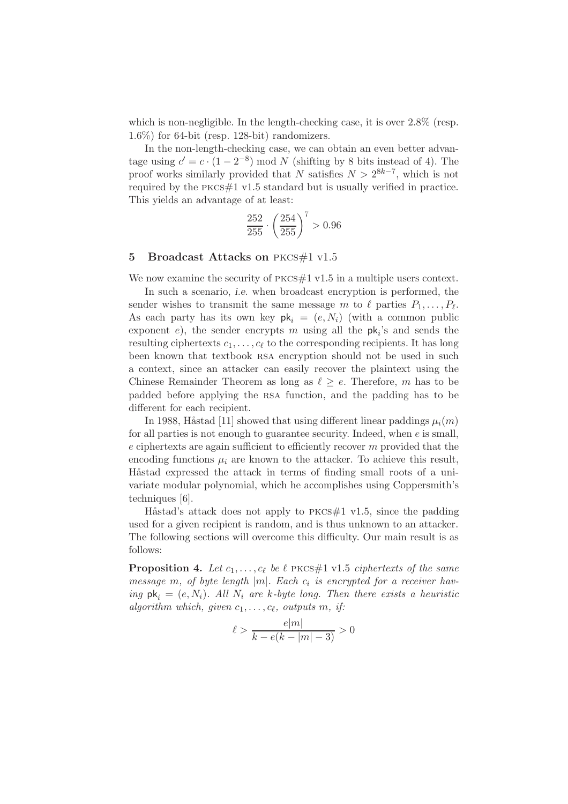which is non-negligible. In the length-checking case, it is over  $2.8\%$  (resp. 1.6%) for 64-bit (resp. 128-bit) randomizers.

In the non-length-checking case, we can obtain an even better advantage using  $c' = c \cdot (1 - 2^{-8}) \mod N$  (shifting by 8 bits instead of 4). The proof works similarly provided that N satisfies  $N > 2^{8k-7}$ , which is not required by the pkcs#1 v1.5 standard but is usually verified in practice. This yields an advantage of at least:

$$
\frac{252}{255} \cdot \left(\frac{254}{255}\right)^7 > 0.96
$$

### 5 Broadcast Attacks on PKCS#1 v1.5

We now examine the security of  $PKCS\#1 \text{ v1.5}$  in a multiple users context.

In such a scenario, *i.e.* when broadcast encryption is performed, the sender wishes to transmit the same message m to  $\ell$  parties  $P_1, \ldots, P_\ell$ . As each party has its own key  $pk_i = (e, N_i)$  (with a common public exponent  $e$ ), the sender encrypts m using all the  $pk_i$ 's and sends the resulting ciphertexts  $c_1, \ldots, c_\ell$  to the corresponding recipients. It has long been known that textbook rsa encryption should not be used in such a context, since an attacker can easily recover the plaintext using the Chinese Remainder Theorem as long as  $\ell \geq e$ . Therefore, m has to be padded before applying the rsa function, and the padding has to be different for each recipient.

In 1988, Håstad [11] showed that using different linear paddings  $\mu_i(m)$ for all parties is not enough to guarantee security. Indeed, when  $e$  is small,  $e$  ciphertexts are again sufficient to efficiently recover  $m$  provided that the encoding functions  $\mu_i$  are known to the attacker. To achieve this result, Håstad expressed the attack in terms of finding small roots of a univariate modular polynomial, which he accomplishes using Coppersmith's techniques [6].

Håstad's attack does not apply to  $PKCS#1$  v1.5, since the padding used for a given recipient is random, and is thus unknown to an attacker. The following sections will overcome this difficulty. Our main result is as follows:

**Proposition 4.** Let  $c_1, \ldots, c_\ell$  be  $\ell$  pkcs#1 v1.5 *ciphertexts of the same message*  $m$ , *of byte length*  $|m|$ *. Each*  $c_i$  *is encrypted for a receiver having*  $pk_i = (e, N_i)$ *. All*  $N_i$  *are* k-byte long. Then there exists a heuristic  $algorithm which, given c_1, \ldots, c_\ell, outputs m, if:$ 

$$
\ell > \frac{e|m|}{k - e(k - |m| - 3)} > 0
$$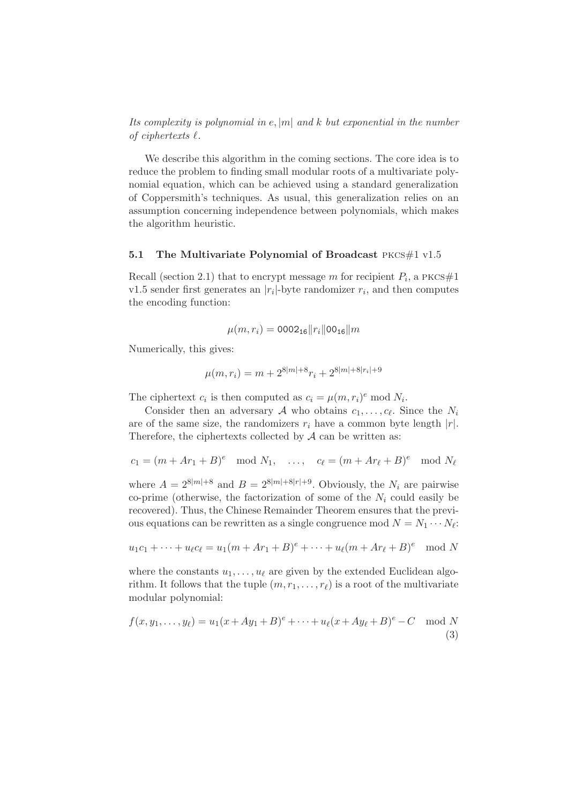*Its complexity is polynomial in* e, |m| *and* k *but exponential in the number of ciphertexts* ℓ*.*

We describe this algorithm in the coming sections. The core idea is to reduce the problem to finding small modular roots of a multivariate polynomial equation, which can be achieved using a standard generalization of Coppersmith's techniques. As usual, this generalization relies on an assumption concerning independence between polynomials, which makes the algorithm heuristic.

### 5.1 The Multivariate Polynomial of Broadcast PKCS $#1$  v1.5

Recall (section 2.1) that to encrypt message m for recipient  $P_i$ , a PKCS#1 v1.5 sender first generates an  $|r_i|$ -byte randomizer  $r_i$ , and then computes the encoding function:

$$
\mu(m,r_i) = 0002_{16} ||r_i|| 00_{16} ||m
$$

Numerically, this gives:

$$
\mu(m,r_i) = m + 2^{8|m|+8}r_i + 2^{8|m|+8|r_i|+9}
$$

The ciphertext  $c_i$  is then computed as  $c_i = \mu(m, r_i)^e \mod N_i$ .

Consider then an adversary A who obtains  $c_1, \ldots, c_{\ell}$ . Since the  $N_i$ are of the same size, the randomizers  $r_i$  have a common byte length  $|r|$ . Therefore, the ciphertexts collected by  $A$  can be written as:

$$
c_1 = (m + Ar_1 + B)^e \mod N_1, \quad \dots, \quad c_\ell = (m + Ar_\ell + B)^e \mod N_\ell
$$

where  $A = 2^{8|m|+8}$  and  $B = 2^{8|m|+8|r|+9}$ . Obviously, the  $N_i$  are pairwise co-prime (otherwise, the factorization of some of the  $N_i$  could easily be recovered). Thus, the Chinese Remainder Theorem ensures that the previous equations can be rewritten as a single congruence mod  $N = N_1 \cdots N_\ell$ :

$$
u_1c_1 + \dots + u_{\ell}c_{\ell} = u_1(m + Ar_1 + B)^{e} + \dots + u_{\ell}(m + Ar_{\ell} + B)^{e} \mod N
$$

where the constants  $u_1, \ldots, u_\ell$  are given by the extended Euclidean algorithm. It follows that the tuple  $(m, r_1, \ldots, r_\ell)$  is a root of the multivariate modular polynomial:

$$
f(x, y_1, ..., y_\ell) = u_1(x + Ay_1 + B)^\ell + \dots + u_\ell(x + Ay_\ell + B)^\ell - C \mod N
$$
\n(3)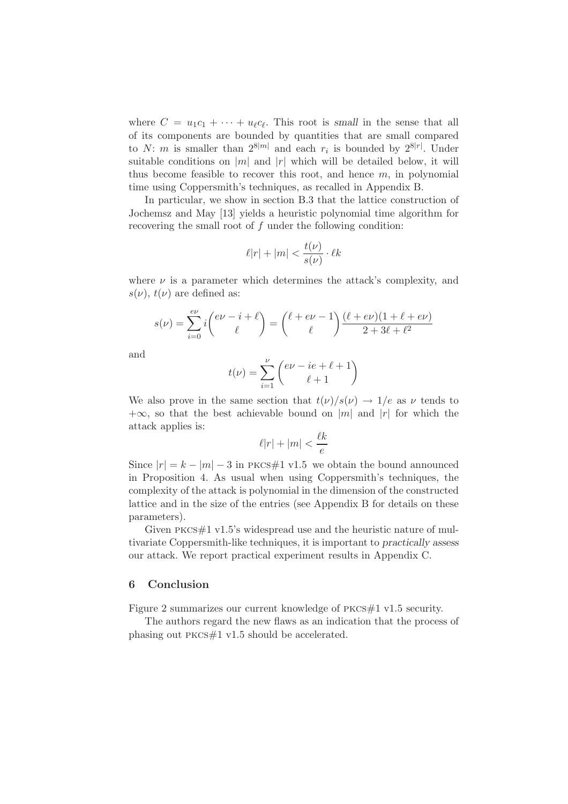where  $C = u_1 c_1 + \cdots + u_\ell c_\ell$ . This root is small in the sense that all of its components are bounded by quantities that are small compared to N: m is smaller than  $2^{8|m|}$  and each  $r_i$  is bounded by  $2^{8|r|}$ . Under suitable conditions on  $|m|$  and  $|r|$  which will be detailed below, it will thus become feasible to recover this root, and hence  $m$ , in polynomial time using Coppersmith's techniques, as recalled in Appendix B.

In particular, we show in section B.3 that the lattice construction of Jochemsz and May [13] yields a heuristic polynomial time algorithm for recovering the small root of f under the following condition:

$$
\ell|r| + |m| < \frac{t(\nu)}{s(\nu)} \cdot \ell k
$$

where  $\nu$  is a parameter which determines the attack's complexity, and  $s(\nu)$ ,  $t(\nu)$  are defined as:

$$
s(\nu) = \sum_{i=0}^{e\nu} i \binom{e\nu - i + \ell}{\ell} = \binom{\ell + e\nu - 1}{\ell} \frac{(\ell + e\nu)(1 + \ell + e\nu)}{2 + 3\ell + \ell^2}
$$

and

$$
t(\nu) = \sum_{i=1}^{\nu} \binom{e\nu - ie + \ell + 1}{\ell + 1}
$$

We also prove in the same section that  $t(\nu)/s(\nu) \rightarrow 1/e$  as  $\nu$  tends to  $+\infty$ , so that the best achievable bound on |m| and |r| for which the attack applies is:

$$
\ell|r|+|m|<\frac{\ell k}{e}
$$

Since  $|r| = k - |m| - 3$  in PKCS#1 v1.5 we obtain the bound announced in Proposition 4. As usual when using Coppersmith's techniques, the complexity of the attack is polynomial in the dimension of the constructed lattice and in the size of the entries (see Appendix B for details on these parameters).

Given PKCS $\#1$  v1.5's widespread use and the heuristic nature of multivariate Coppersmith-like techniques, it is important to practically assess our attack. We report practical experiment results in Appendix C.

# 6 Conclusion

Figure 2 summarizes our current knowledge of PKCS#1 v1.5 security.

The authors regard the new flaws as an indication that the process of phasing out pkcs#1 v1.5 should be accelerated.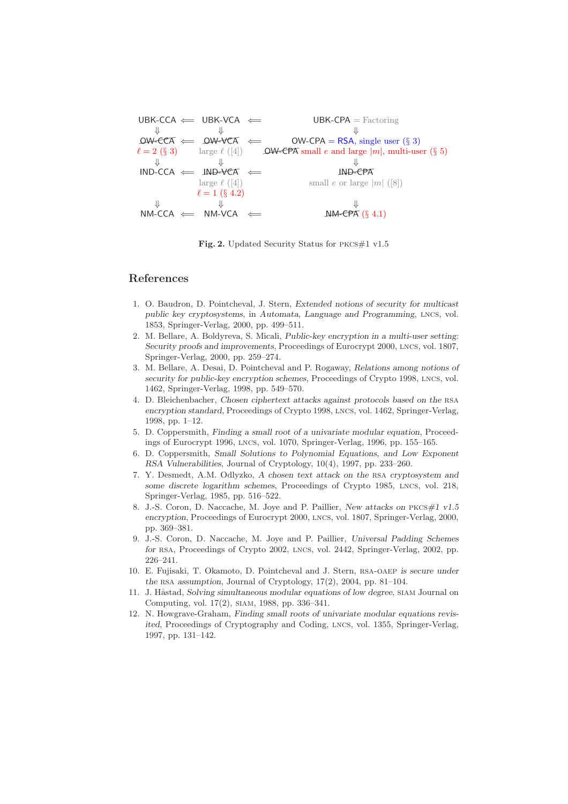$UBK-CCA \leftarrow \text{UBK-VCA} \leftarrow \text{UBK-CPA} = \text{Factoring}$  $\Downarrow$   $\Downarrow$  $\Downarrow$   $\Downarrow$   $\Downarrow$   $\Downarrow$   $\Downarrow$   $\Downarrow$   $\Downarrow$   $\Downarrow$   $\Downarrow$  OW-CPA = RSA, single user (§ 3)  $\ell = 2$  (§ 3) large  $\ell$  ([4]) **OW-CPA** small e and large  $|m|$ , multi-user (§ 5)  $\Downarrow$   $\Downarrow$  $\Downarrow$   $\Downarrow$   $\Downarrow$   $\Downarrow$   $\Downarrow$   $\Downarrow$   $\Downarrow$   $\Downarrow$   $\Downarrow$   $\Downarrow$   $\Downarrow$   $\downarrow$   $\Downarrow$   $\downarrow$   $\downarrow$   $\downarrow$   $\downarrow$   $\downarrow$   $\downarrow$   $\downarrow$   $\downarrow$   $\downarrow$   $\downarrow$   $\downarrow$   $\downarrow$   $\downarrow$   $\downarrow$   $\downarrow$   $\downarrow$   $\downarrow$   $\downarrow$   $\downarrow$   $\downarrow$   $\downarrow$   $\downarrow$   $\downarrow$   $\downarrow$ large  $\ell$  ([4]) small  $e$  or large  $|m|$  ([8])  $\ell = 1$  (§ 4.2)  $\Downarrow$   $\Downarrow$  $\Downarrow$   $\Downarrow$   $\Downarrow$   $\Downarrow$   $\Downarrow$   $\Downarrow$   $\downarrow$   $\downarrow$   $\downarrow$   $\downarrow$   $\downarrow$   $\downarrow$   $\downarrow$   $\downarrow$   $\downarrow$   $\downarrow$   $\downarrow$   $\downarrow$   $\downarrow$   $\downarrow$   $\downarrow$   $\downarrow$   $\downarrow$   $\downarrow$   $\downarrow$   $\downarrow$   $\downarrow$   $\downarrow$   $\downarrow$   $\downarrow$   $\downarrow$   $\downarrow$   $\downarrow$   $\downarrow$   $\downarrow$   $\downarrow$   $\downarrow$ 

Fig. 2. Updated Security Status for PKCS#1 v1.5

# References

- 1. O. Baudron, D. Pointcheval, J. Stern, *Extended notions of security for multicast public key cryptosystems*, in *Automata, Language and Programming*, lncs, vol. 1853, Springer-Verlag, 2000, pp. 499–511.
- 2. M. Bellare, A. Boldyreva, S. Micali, *Public-key encryption in a multi-user setting: Security proofs and improvements*, Proceedings of Eurocrypt 2000, lncs, vol. 1807, Springer-Verlag, 2000, pp. 259–274.
- 3. M. Bellare, A. Desai, D. Pointcheval and P. Rogaway, *Relations among notions of security for public-key encryption schemes*, Proceedings of Crypto 1998, lncs, vol. 1462, Springer-Verlag, 1998, pp. 549–570.
- 4. D. Bleichenbacher, *Chosen ciphertext attacks against protocols based on the* rsa *encryption standard*, Proceedings of Crypto 1998, lncs, vol. 1462, Springer-Verlag, 1998, pp. 1–12.
- 5. D. Coppersmith, *Finding a small root of a univariate modular equation*, Proceedings of Eurocrypt 1996, lncs, vol. 1070, Springer-Verlag, 1996, pp. 155–165.
- 6. D. Coppersmith, *Small Solutions to Polynomial Equations, and Low Exponent RSA Vulnerabilities*, Journal of Cryptology, 10(4), 1997, pp. 233–260.
- 7. Y. Desmedt, A.M. Odlyzko, *A chosen text attack on the* rsa *cryptosystem and some discrete logarithm schemes*, Proceedings of Crypto 1985, lncs, vol. 218, Springer-Verlag, 1985, pp. 516–522.
- 8. J.-S. Coron, D. Naccache, M. Joye and P. Paillier, *New attacks on* pkcs*#1 v1.5 encryption*, Proceedings of Eurocrypt 2000, lncs, vol. 1807, Springer-Verlag, 2000, pp. 369–381.
- 9. J.-S. Coron, D. Naccache, M. Joye and P. Paillier, *Universal Padding Schemes for* rsa, Proceedings of Crypto 2002, lncs, vol. 2442, Springer-Verlag, 2002, pp. 226–241.
- 10. E. Fujisaki, T. Okamoto, D. Pointcheval and J. Stern, rsa-oaep *is secure under the* rsa *assumption*, Journal of Cryptology, 17(2), 2004, pp. 81–104.
- 11. J. Håstad, *Solving simultaneous modular equations of low degree*, SIAM Journal on Computing, vol. 17(2), siam, 1988, pp. 336–341.
- 12. N. Howgrave-Graham, *Finding small roots of univariate modular equations revisited*, Proceedings of Cryptography and Coding, LNCS, vol. 1355, Springer-Verlag, 1997, pp. 131–142.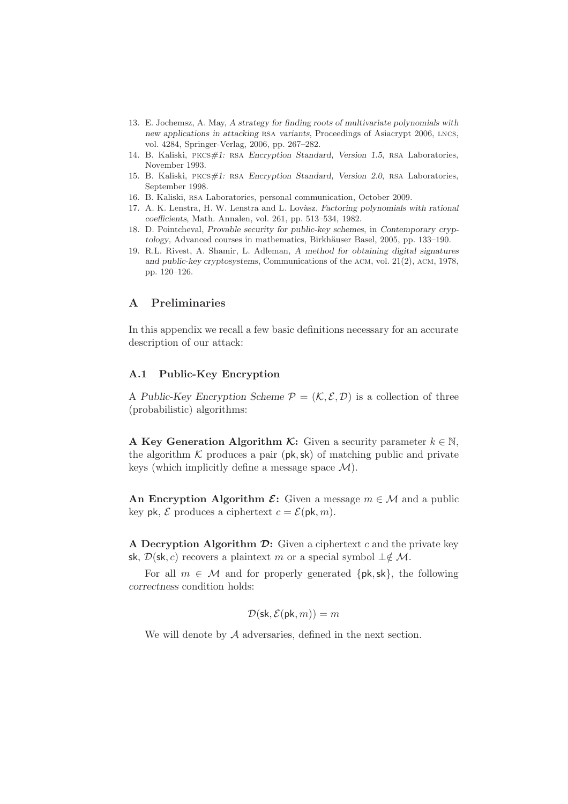- 13. E. Jochemsz, A. May, *A strategy for finding roots of multivariate polynomials with new applications in attacking* rsa *variants*, Proceedings of Asiacrypt 2006, lncs, vol. 4284, Springer-Verlag, 2006, pp. 267–282.
- 14. B. Kaliski, pkcs*#1:* rsa *Encryption Standard, Version 1.5*, rsa Laboratories, November 1993.
- 15. B. Kaliski, pkcs*#1:* rsa *Encryption Standard, Version 2.0*, rsa Laboratories, September 1998.
- 16. B. Kaliski, rsa Laboratories, personal communication, October 2009.
- 17. A. K. Lenstra, H. W. Lenstra and L. Lov`asz, *Factoring polynomials with rational coefficients*, Math. Annalen, vol. 261, pp. 513–534, 1982.
- 18. D. Pointcheval, *Provable security for public-key schemes*, in *Contemporary cryptology*, Advanced courses in mathematics, Birkhäuser Basel, 2005, pp. 133–190.
- 19. R.L. Rivest, A. Shamir, L. Adleman, *A method for obtaining digital signatures and public-key cryptosystems*, Communications of the acm, vol. 21(2), acm, 1978, pp. 120–126.

# A Preliminaries

In this appendix we recall a few basic definitions necessary for an accurate description of our attack:

#### A.1 Public-Key Encryption

A Public-Key Encryption Scheme  $\mathcal{P} = (\mathcal{K}, \mathcal{E}, \mathcal{D})$  is a collection of three (probabilistic) algorithms:

A Key Generation Algorithm K: Given a security parameter  $k \in \mathbb{N}$ , the algorithm  $K$  produces a pair (pk, sk) of matching public and private keys (which implicitly define a message space  $\mathcal{M}$ ).

An Encryption Algorithm  $\mathcal{E}$ : Given a message  $m \in \mathcal{M}$  and a public key pk,  $\mathcal E$  produces a ciphertext  $c = \mathcal E(\mathsf{pk}, m)$ .

A Decryption Algorithm  $\mathcal{D}$ : Given a ciphertext c and the private key sk,  $\mathcal{D}(\mathsf{sk}, c)$  recovers a plaintext m or a special symbol  $\perp \notin \mathcal{M}$ .

For all  $m \in \mathcal{M}$  and for properly generated  $\{pk, sk\}$ , the following correctness condition holds:

$$
\mathcal{D}(\mathsf{sk}, \mathcal{E}(\mathsf{pk}, m)) = m
$$

We will denote by A adversaries, defined in the next section.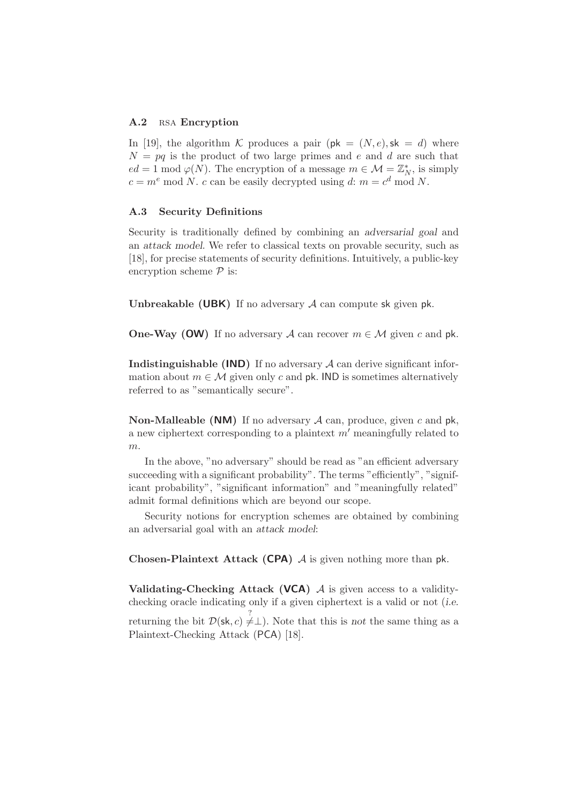### A.2 RSA Encryption

In [19], the algorithm K produces a pair  $(\mathsf{pk} = (N, e), \mathsf{sk} = d)$  where  $N = pq$  is the product of two large primes and e and d are such that  $ed = 1 \mod \varphi(N)$ . The encryption of a message  $m \in \mathcal{M} = \mathbb{Z}_N^*$ , is simply  $c = m^e \mod N$ . c can be easily decrypted using d:  $m = c^d \mod N$ .

#### A.3 Security Definitions

Security is traditionally defined by combining an adversarial goal and an attack model. We refer to classical texts on provable security, such as [18], for precise statements of security definitions. Intuitively, a public-key encryption scheme  $P$  is:

**Unbreakable (UBK)** If no adversary  $\mathcal A$  can compute sk given pk.

**One-Way (OW)** If no adversary A can recover  $m \in \mathcal{M}$  given c and pk.

**Indistinguishable (IND)** If no adversary  $\mathcal A$  can derive significant information about  $m \in \mathcal{M}$  given only c and pk. IND is sometimes alternatively referred to as "semantically secure".

**Non-Malleable (NM)** If no adversary  $\mathcal A$  can, produce, given c and pk, a new ciphertext corresponding to a plaintext  $m'$  meaningfully related to  $m$ .

In the above, "no adversary" should be read as "an efficient adversary succeeding with a significant probability". The terms "efficiently", "significant probability", "significant information" and "meaningfully related" admit formal definitions which are beyond our scope.

Security notions for encryption schemes are obtained by combining an adversarial goal with an attack model:

**Chosen-Plaintext Attack (CPA)**  $\mathcal A$  is given nothing more than pk.

Validating-Checking Attack (VCA)  $A$  is given access to a validitychecking oracle indicating only if a given ciphertext is a valid or not (i.e.

returning the bit  $\mathcal{D}(\mathsf{sk}, c) \neq \perp$ ). Note that this is not the same thing as a Plaintext-Checking Attack (PCA) [18].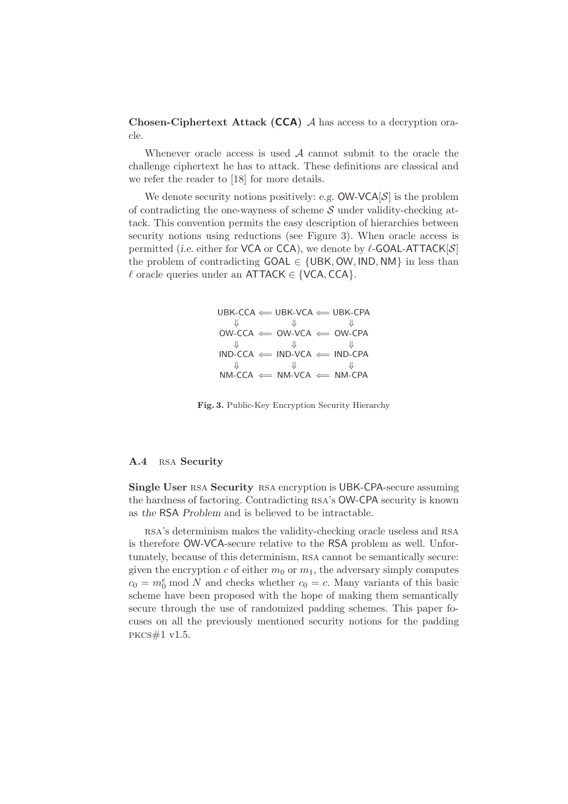Chosen-Ciphertext Attack (CCA) <sup>A</sup> has access to a decryption oracle.

Whenever oracle access is used  $A$  cannot submit to the oracle the challenge ciphertext he has to attack. These definitions are classical and we refer the reader to [18] for more details.

We denote security notions positively: e.g.  $OW-VCA[S]$  is the problem of contradicting the one-wayness of scheme  $S$  under validity-checking attack. This convention permits the easy description of hierarchies between security notions using reductions (see Figure 3). When oracle access is permitted (i.e. either for VCA or CCA), we denote by  $\ell$ -GOAL-ATTACK $[\mathcal{S}]$ the problem of contradicting  $GOAL \in \{UBK, OW, IND, NM\}$  in less than  $\ell$  oracle queries under an ATTACK  $\in$  {VCA, CCA}.

$$
\begin{array}{ccc}\n\text{UBK-CCA} & \Longleftarrow \text{UBK-VA} \Longleftarrow \text{UBK-CPA} \\
\Downarrow & \Downarrow & \Downarrow \\
\text{OW-CCA} & \Longleftarrow \text{OW-VA} \Longleftarrow \text{OW-CPA} \\
\Downarrow & \Downarrow & \Downarrow \\
\text{IND-CCA} & \longleftarrow \text{IND-CPA} \Longleftarrow \text{IND-CPA} \\
\Downarrow & \Downarrow & \Downarrow \\
\text{NM-CCA} & \Longleftarrow \text{NM-VCA} \Longleftarrow \text{NM-CPA}\n\end{array}
$$

Fig. 3. Public-Key Encryption Security Hierarchy

#### A.4 RSA Security

Single User RSA Security RSA encryption is UBK-CPA-secure assuming the hardness of factoring. Contradicting rsa's OW-CPA security is known as the RSA Problem and is believed to be intractable.

rsa's determinism makes the validity-checking oracle useless and rsa is therefore OW-VCA-secure relative to the RSA problem as well. Unfortunately, because of this determinism, rsa cannot be semantically secure: given the encryption c of either  $m_0$  or  $m_1$ , the adversary simply computes  $c_0 = m_0^e \mod N$  and checks whether  $c_0 = c$ . Many variants of this basic scheme have been proposed with the hope of making them semantically secure through the use of randomized padding schemes. This paper focuses on all the previously mentioned security notions for the padding pkcs#1 v1.5.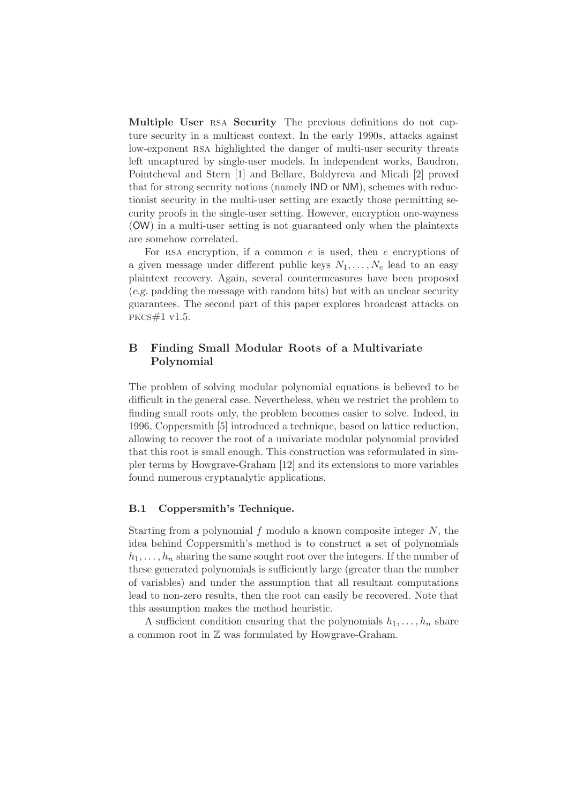Multiple User RSA Security The previous definitions do not capture security in a multicast context. In the early 1990s, attacks against low-exponent RSA highlighted the danger of multi-user security threats left uncaptured by single-user models. In independent works, Baudron, Pointcheval and Stern [1] and Bellare, Boldyreva and Micali [2] proved that for strong security notions (namely IND or NM), schemes with reductionist security in the multi-user setting are exactly those permitting security proofs in the single-user setting. However, encryption one-wayness (OW) in a multi-user setting is not guaranteed only when the plaintexts are somehow correlated.

For RSA encryption, if a common  $e$  is used, then  $e$  encryptions of a given message under different public keys  $N_1, \ldots, N_e$  lead to an easy plaintext recovery. Again, several countermeasures have been proposed (e.g. padding the message with random bits) but with an unclear security guarantees. The second part of this paper explores broadcast attacks on pkcs#1 v1.5.

# B Finding Small Modular Roots of a Multivariate Polynomial

The problem of solving modular polynomial equations is believed to be difficult in the general case. Nevertheless, when we restrict the problem to finding small roots only, the problem becomes easier to solve. Indeed, in 1996, Coppersmith [5] introduced a technique, based on lattice reduction, allowing to recover the root of a univariate modular polynomial provided that this root is small enough. This construction was reformulated in simpler terms by Howgrave-Graham [12] and its extensions to more variables found numerous cryptanalytic applications.

# B.1 Coppersmith's Technique.

Starting from a polynomial f modulo a known composite integer  $N$ , the idea behind Coppersmith's method is to construct a set of polynomials  $h_1, \ldots, h_n$  sharing the same sought root over the integers. If the number of these generated polynomials is sufficiently large (greater than the number of variables) and under the assumption that all resultant computations lead to non-zero results, then the root can easily be recovered. Note that this assumption makes the method heuristic.

A sufficient condition ensuring that the polynomials  $h_1, \ldots, h_n$  share a common root in Z was formulated by Howgrave-Graham.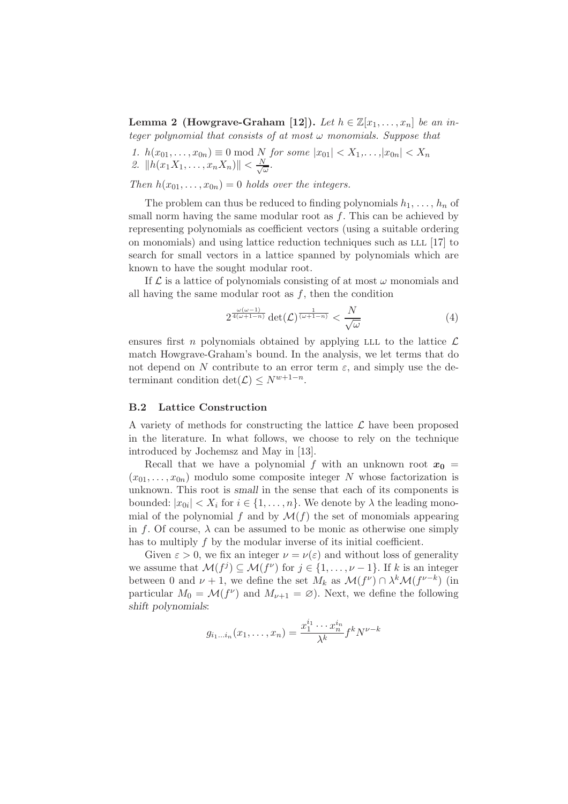**Lemma 2 (Howgrave-Graham [12]).** Let  $h \in \mathbb{Z}[x_1, \ldots, x_n]$  be an in*teger polynomial that consists of at most* ω *monomials. Suppose that*

1. 
$$
h(x_{01},...,x_{0n}) \equiv 0 \mod N
$$
 for some  $|x_{01}| < X_1,...,|x_{0n}| < X_n$   
2.  $||h(x_1X_1,...,x_nX_n)|| < \frac{N}{\sqrt{\omega}}$ .

*Then*  $h(x_{01},...,x_{0n})=0$  *holds over the integers.* 

The problem can thus be reduced to finding polynomials  $h_1, \ldots, h_n$  of small norm having the same modular root as  $f$ . This can be achieved by representing polynomials as coefficient vectors (using a suitable ordering on monomials) and using lattice reduction techniques such as LLL [17] to search for small vectors in a lattice spanned by polynomials which are known to have the sought modular root.

If  $\mathcal L$  is a lattice of polynomials consisting of at most  $\omega$  monomials and all having the same modular root as  $f$ , then the condition

$$
2^{\frac{\omega(\omega-1)}{4(\omega+1-n)}} \det(\mathcal{L})^{\frac{1}{(\omega+1-n)}} < \frac{N}{\sqrt{\omega}} \tag{4}
$$

ensures first n polynomials obtained by applying LLL to the lattice  $\mathcal L$ match Howgrave-Graham's bound. In the analysis, we let terms that do not depend on N contribute to an error term  $\varepsilon$ , and simply use the determinant condition det $(\mathcal{L}) \leq N^{w+1-n}$ .

#### B.2 Lattice Construction

A variety of methods for constructing the lattice  $\mathcal L$  have been proposed in the literature. In what follows, we choose to rely on the technique introduced by Jochemsz and May in [13].

Recall that we have a polynomial f with an unknown root  $x_0 =$  $(x_{01}, \ldots, x_{0n})$  modulo some composite integer N whose factorization is unknown. This root is small in the sense that each of its components is bounded:  $|x_{0i}| < X_i$  for  $i \in \{1, \ldots, n\}$ . We denote by  $\lambda$  the leading monomial of the polynomial f and by  $\mathcal{M}(f)$  the set of monomials appearing in f. Of course,  $\lambda$  can be assumed to be monic as otherwise one simply has to multiply  $f$  by the modular inverse of its initial coefficient.

Given  $\varepsilon > 0$ , we fix an integer  $\nu = \nu(\varepsilon)$  and without loss of generality we assume that  $\mathcal{M}(f^j) \subseteq \mathcal{M}(f^{\nu})$  for  $j \in \{1, \ldots, \nu - 1\}$ . If k is an integer between 0 and  $\nu + 1$ , we define the set  $M_k$  as  $\mathcal{M}(f^{\nu}) \cap \lambda^k \mathcal{M}(f^{\nu-k})$  (in particular  $M_0 = \mathcal{M}(f^{\nu})$  and  $M_{\nu+1} = \varnothing$ ). Next, we define the following shift polynomials:

$$
g_{i_1...i_n}(x_1,\ldots,x_n) = \frac{x_1^{i_1}\cdots x_n^{i_n}}{\lambda^k} f^k N^{\nu-k}
$$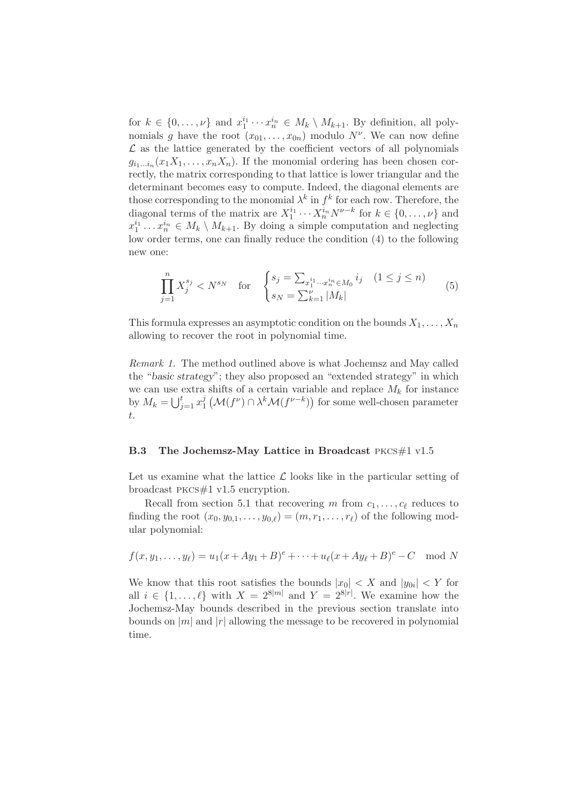for  $k \in \{0, \ldots, \nu\}$  and  $x_1^{i_1} \cdots x_n^{i_n} \in M_k \setminus M_{k+1}$ . By definition, all polynomials g have the root  $(x_{01},...,x_{0n})$  modulo  $N^{\nu}$ . We can now define  $\mathcal L$  as the lattice generated by the coefficient vectors of all polynomials  $g_{i_1...i_n}(x_1X_1,\ldots,x_nX_n)$ . If the monomial ordering has been chosen correctly, the matrix corresponding to that lattice is lower triangular and the determinant becomes easy to compute. Indeed, the diagonal elements are those corresponding to the monomial  $\lambda^k$  in  $f^k$  for each row. Therefore, the diagonal terms of the matrix are  $X_1^{i_1} \cdots X_n^{i_n} N^{\nu-k}$  for  $k \in \{0, \ldots, \nu\}$  and  $x_1^{i_1} \ldots x_n^{i_n} \in M_k \setminus M_{k+1}$ . By doing a simple computation and neglecting low order terms, one can finally reduce the condition (4) to the following new one:

$$
\prod_{j=1}^{n} X_j^{s_j} < N^{s_N} \quad \text{for} \quad \begin{cases} s_j = \sum_{x_1^{i_1} \cdots x_n^{i_n} \in M_0} i_j & (1 \le j \le n) \\ s_N = \sum_{k=1}^{\nu} |M_k| \end{cases} \tag{5}
$$

This formula expresses an asymptotic condition on the bounds  $X_1, \ldots, X_n$ allowing to recover the root in polynomial time.

*Remark 1.* The method outlined above is what Jochemsz and May called the "basic strategy"; they also proposed an "extended strategy" in which we can use extra shifts of a certain variable and replace  $M_k$  for instance by  $M_k = \bigcup_{j=1}^t x_1^j$  $\frac{d}{dt}(\mathcal{M}(f^{\nu}) \cap \lambda^k \mathcal{M}(f^{\nu-k}))$  for some well-chosen parameter t.

#### B.3 The Jochemsz-May Lattice in Broadcast PKCS#1 v1.5

Let us examine what the lattice  $\mathcal L$  looks like in the particular setting of broadcast pkcs#1 v1.5 encryption.

Recall from section 5.1 that recovering m from  $c_1, \ldots, c_\ell$  reduces to finding the root  $(x_0, y_{0,1}, \ldots, y_{0,\ell}) = (m, r_1, \ldots, r_{\ell})$  of the following modular polynomial:

$$
f(x, y_1, ..., y_\ell) = u_1(x + Ay_1 + B)^e + ... + u_\ell(x + Ay_\ell + B)^e - C \mod N
$$

We know that this root satisfies the bounds  $|x_0| < X$  and  $|y_{0i}| < Y$  for all  $i \in \{1, ..., \ell\}$  with  $X = 2^{8|m|}$  and  $Y = 2^{8|r|}$ . We examine how the Jochemsz-May bounds described in the previous section translate into bounds on  $|m|$  and  $|r|$  allowing the message to be recovered in polynomial time.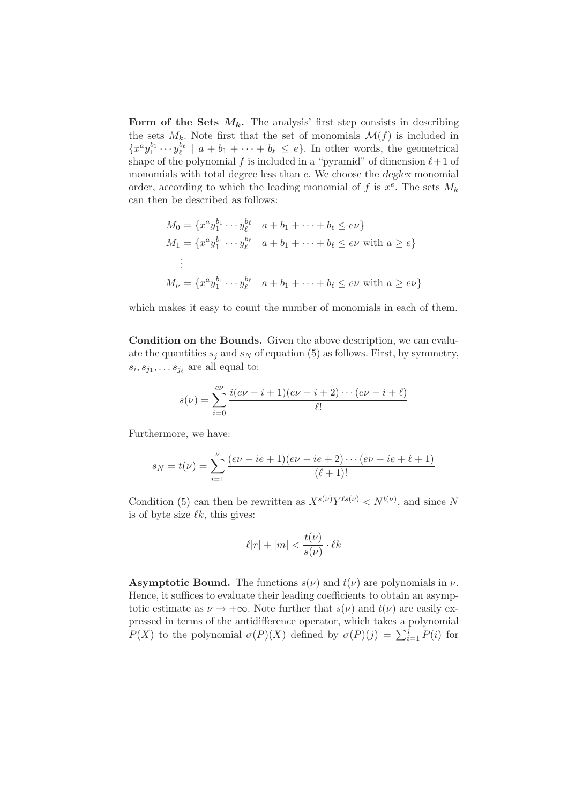Form of the Sets  $M_k$ . The analysis' first step consists in describing the sets  $M_k$ . Note first that the set of monomials  $\mathcal{M}(f)$  is included in  ${x^a y_1^{b_1} \cdots y_\ell^{b_\ell}}$  |  $a + b_1 + \cdots + b_\ell \leq e$ . In other words, the geometrical shape of the polynomial f is included in a "pyramid" of dimension  $\ell+1$  of monomials with total degree less than e. We choose the deglex monomial order, according to which the leading monomial of f is  $x^e$ . The sets  $M_k$ can then be described as follows:

$$
M_0 = \{x^a y_1^{b_1} \cdots y_\ell^{b_\ell} \mid a + b_1 + \cdots + b_\ell \le e\nu\}
$$
  
\n
$$
M_1 = \{x^a y_1^{b_1} \cdots y_\ell^{b_\ell} \mid a + b_1 + \cdots + b_\ell \le e\nu \text{ with } a \ge e\}
$$
  
\n
$$
\vdots
$$
  
\n
$$
M_\nu = \{x^a y_1^{b_1} \cdots y_\ell^{b_\ell} \mid a + b_1 + \cdots + b_\ell \le e\nu \text{ with } a \ge e\nu\}
$$

which makes it easy to count the number of monomials in each of them.

Condition on the Bounds. Given the above description, we can evaluate the quantities  $s_i$  and  $s_N$  of equation (5) as follows. First, by symmetry,  $s_i, s_{j_1}, \ldots s_{j_\ell}$  are all equal to:

$$
s(\nu) = \sum_{i=0}^{e\nu} \frac{i(e\nu - i + 1)(e\nu - i + 2) \cdots (e\nu - i + \ell)}{\ell!}
$$

Furthermore, we have:

$$
s_N = t(\nu) = \sum_{i=1}^{\nu} \frac{(e\nu - ie + 1)(e\nu - ie + 2) \cdots (e\nu - ie + \ell + 1)}{(\ell + 1)!}
$$

Condition (5) can then be rewritten as  $X^{s(\nu)}Y^{l s(\nu)} < N^{t(\nu)}$ , and since N is of byte size  $\ell k$ , this gives:

$$
\ell|r|+|m|<\frac{t(\nu)}{s(\nu)}\cdot \ell k
$$

**Asymptotic Bound.** The functions  $s(\nu)$  and  $t(\nu)$  are polynomials in  $\nu$ . Hence, it suffices to evaluate their leading coefficients to obtain an asymptotic estimate as  $\nu \to +\infty$ . Note further that  $s(\nu)$  and  $t(\nu)$  are easily expressed in terms of the antidifference operator, which takes a polynomial  $P(X)$  to the polynomial  $\sigma(P)(X)$  defined by  $\sigma(P)(j) = \sum_{i=1}^{j} P(i)$  for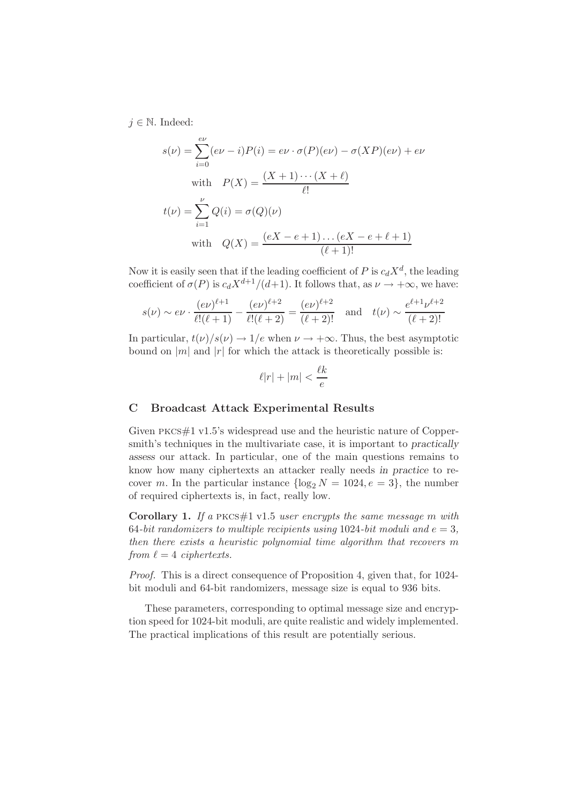$j \in \mathbb{N}$ . Indeed:

$$
s(\nu) = \sum_{i=0}^{e\nu} (e\nu - i)P(i) = e\nu \cdot \sigma(P)(e\nu) - \sigma(XP)(e\nu) + e\nu
$$
  
with 
$$
P(X) = \frac{(X+1)\cdots(X+\ell)}{\ell!}
$$

$$
t(\nu) = \sum_{i=1}^{\nu} Q(i) = \sigma(Q)(\nu)
$$
  
with 
$$
Q(X) = \frac{(eX - e + 1)\dots(eX - e + \ell + 1)}{(\ell + 1)!}
$$

Now it is easily seen that if the leading coefficient of P is  $c_dX^d$ , the leading coefficient of  $\sigma(P)$  is  $c_dX^{d+1}/(d+1)$ . It follows that, as  $\nu \rightarrow +\infty$ , we have:

$$
s(\nu) \sim e\nu \cdot \frac{(e\nu)^{\ell+1}}{\ell!(\ell+1)} - \frac{(e\nu)^{\ell+2}}{\ell!(\ell+2)} = \frac{(e\nu)^{\ell+2}}{(\ell+2)!}
$$
 and  $t(\nu) \sim \frac{e^{\ell+1}\nu^{\ell+2}}{(\ell+2)!}$ 

In particular,  $t(\nu)/s(\nu) \to 1/e$  when  $\nu \to +\infty$ . Thus, the best asymptotic bound on |m| and  $|r|$  for which the attack is theoretically possible is:

$$
\ell|r| + |m| < \frac{\ell k}{e}
$$

#### C Broadcast Attack Experimental Results

Given pkcs#1 v1.5's widespread use and the heuristic nature of Coppersmith's techniques in the multivariate case, it is important to practically assess our attack. In particular, one of the main questions remains to know how many ciphertexts an attacker really needs in practice to recover m. In the particular instance  $\{\log_2 N = 1024, e = 3\}$ , the number of required ciphertexts is, in fact, really low.

Corollary 1. *If a* pkcs#1 v1.5 *user encrypts the same message* m *with* 64-bit randomizers to multiple recipients using  $1024$ -bit moduli and  $e = 3$ , *then there exists a heuristic polynomial time algorithm that recovers* m *from*  $\ell = 4$  *ciphertexts.* 

*Proof.* This is a direct consequence of Proposition 4, given that, for 1024 bit moduli and 64-bit randomizers, message size is equal to 936 bits.

These parameters, corresponding to optimal message size and encryption speed for 1024-bit moduli, are quite realistic and widely implemented. The practical implications of this result are potentially serious.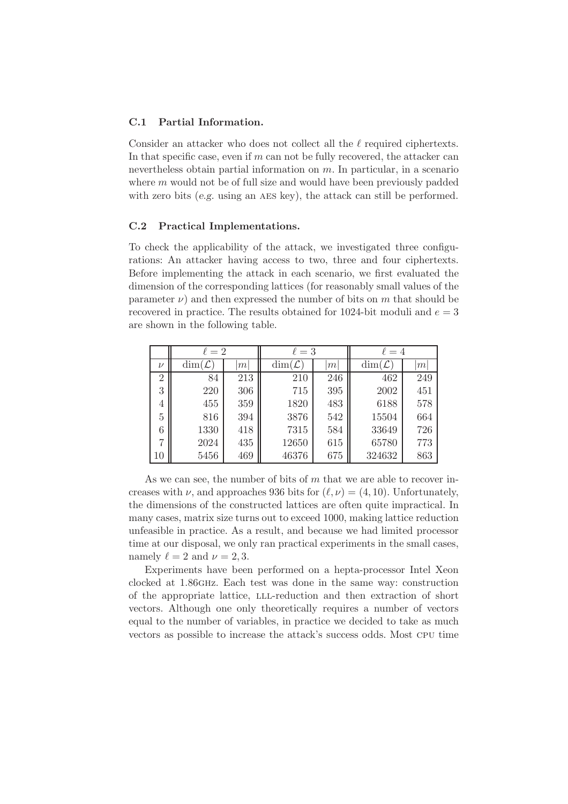# C.1 Partial Information.

Consider an attacker who does not collect all the  $\ell$  required ciphertexts. In that specific case, even if  $m$  can not be fully recovered, the attacker can nevertheless obtain partial information on  $m$ . In particular, in a scenario where  $m$  would not be of full size and would have been previously padded with zero bits  $(e.g.$  using an AES key), the attack can still be performed.

### C.2 Practical Implementations.

To check the applicability of the attack, we investigated three configurations: An attacker having access to two, three and four ciphertexts. Before implementing the attack in each scenario, we first evaluated the dimension of the corresponding lattices (for reasonably small values of the parameter  $\nu$ ) and then expressed the number of bits on m that should be recovered in practice. The results obtained for 1024-bit moduli and  $e = 3$ are shown in the following table.

|                | $\ell=2$            |     | $\ell=3$            |     | $\ell = 4$          |     |
|----------------|---------------------|-----|---------------------|-----|---------------------|-----|
| $\nu$          | $\dim(\mathcal{L})$ | m   | $\dim(\mathcal{L})$ | m   | $\dim(\mathcal{L})$ | m   |
| $\overline{2}$ | 84                  | 213 | 210                 | 246 | 462                 | 249 |
| 3              | 220                 | 306 | 715                 | 395 | 2002                | 451 |
| 4              | 455                 | 359 | 1820                | 483 | 6188                | 578 |
| 5              | 816                 | 394 | 3876                | 542 | 15504               | 664 |
| 6              | 1330                | 418 | 7315                | 584 | 33649               | 726 |
| 7              | 2024                | 435 | 12650               | 615 | 65780               | 773 |
| 10             | 5456                | 469 | 46376               | 675 | 324632              | 863 |

As we can see, the number of bits of  $m$  that we are able to recover increases with  $\nu$ , and approaches 936 bits for  $(\ell, \nu) = (4, 10)$ . Unfortunately, the dimensions of the constructed lattices are often quite impractical. In many cases, matrix size turns out to exceed 1000, making lattice reduction unfeasible in practice. As a result, and because we had limited processor time at our disposal, we only ran practical experiments in the small cases, namely  $\ell = 2$  and  $\nu = 2, 3$ .

Experiments have been performed on a hepta-processor Intel Xeon clocked at 1.86ghz. Each test was done in the same way: construction of the appropriate lattice, lll-reduction and then extraction of short vectors. Although one only theoretically requires a number of vectors equal to the number of variables, in practice we decided to take as much vectors as possible to increase the attack's success odds. Most cpu time